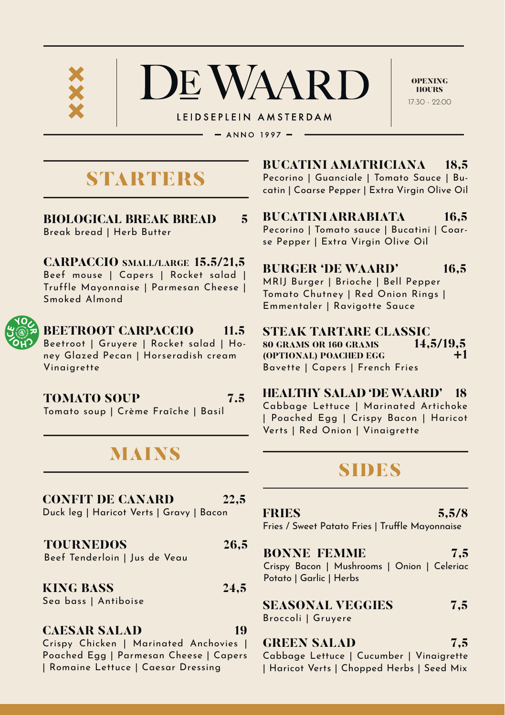

OPENING HOURS  $17.30 99.00$ 

### LEIDSEPLEIN AMSTERDAM

 $-$  ANNO 1997  $-$ 

# **STARTERS**

**BIOLOGICAL BREAK BREAD 5** Break bread | Herb Butter

**CARPACCIO SMALL/LARGE 15.5/21,5** Beef mouse | Capers | Rocket salad | Truffle Mayonnaise | Parmesan Cheese | Smoked Almond



**BEETROOT CARPACCIO 11.5** Beetroot | Gruyere | Rocket salad | Honey Glazed Pecan | Horseradish cream Vinaigrette

**TOMATO SOUP 7.5** Tomato soup | Crème Fraîche | Basil

## MAINS

**CONFIT DE CANARD 22,5**

Duck leg | Haricot Verts | Gravy | Bacon

**TOURNEDOS 26,5** Beef Tenderloin | Jus de Veau

**KING BASS 24,5** Sea bass | Antiboise

## **CAESAR SALAD 19**

Crispy Chicken | Marinated Anchovies | Poached Egg | Parmesan Cheese | Capers | Romaine Lettuce | Caesar Dressing

**BUCATINI AMATRICIANA 18,5** Pecorino | Guanciale | Tomato Sauce | Bucatin | Coarse Pepper | Extra Virgin Olive Oil

**BUCATINI ARRABIATA 16,5** Pecorino | Tomato sauce | Bucatini | Coarse Pepper | Extra Virgin Olive Oil

**BURGER 'DE WAARD' 16,5** MRIJ Burger | Brioche | Bell Pepper

Tomato Chutney | Red Onion Rings | Emmentaler | Ravigotte Sauce

**STEAK TARTARE CLASSIC 80 GRAMS OR 160 GRAMS (OPTIONAL) POACHED EGG** Bavette | Capers | French Fries

## **HEALTHY SALAD 'DE WAARD' 18**

Cabbage Lettuce | Marinated Artichoke | Poached Egg | Crispy Bacon | Haricot Verts | Red Onion | Vinaigrette

## SIDES

## **FRIES 5,5/8**

Fries / Sweet Patato Fries | Truffle Mayonnaise

**BONNE FEMME 7.5** Crispy Bacon | Mushrooms | Onion | Celeriac Potato | Garlic | Herbs

**SEASONAL VEGGIES 7,5** Broccoli | Gruyere

**GREEN SALAD 7,5** Cabbage Lettuce | Cucumber | Vinaigrette | Haricot Verts | Chopped Herbs | Seed Mix